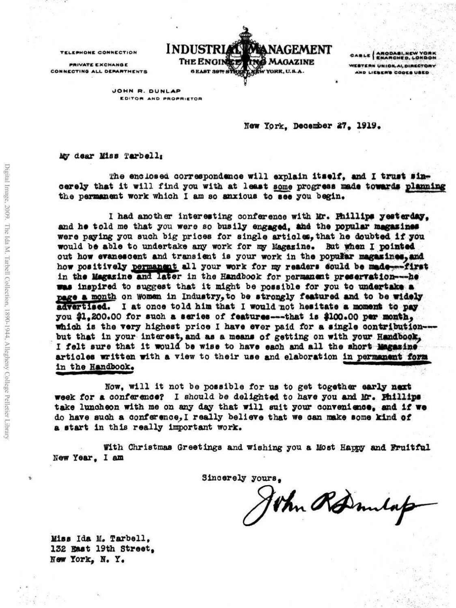**TELEPHONE CONNECTION** 

**PRIVATE EXCHANGE CONNCCTIN9 ALL DtMRTNCNTS**



CABLE | ARODASI, NEW YOR WESTERN UNION AL DIRECTORY **AND LIERER'S CODES USED** 

**JOHN R. DUNLAP** EDITOR AND PROPRIETOR

New York, December 27, 1919.

*uy* **dear Hiss Tarbelli**

*the* **enclosed correspondence will explain itself, and I trust sincerely that it will find you with at least some progress made towards planning** the permanent work which I am so anxious to see you begin.

**I had another interesting conference with Mr. Biillipe yesterday, and he told me that you were so busily engaged, and the popular magazines were paying you such big prices for single articlou, that he doubted if you would be able to undertake any work for my Magazine\* But when I pointed** out how evanescent and transient is your work in the popular magazines, and **how positively permanent all your work for my readers eould be made—first** in the Magazine and later in the Handbook for permanent preservation---he **was inspired to suggest that it might be possible for you to undertake a page a month on woman in Industry,to be strongly featured and to be widely advertised. I at once told him that I would not hesitate a moment to pay you \$1,200.00 for such a series of features---that is #100.00 per month, which is the very highest price I have ever paid for a single contribution but that in your interest, and as a means of getting on with your Handbook, I felt sure that it would be wise to have each and all the short Magazine articles written with a view to their use and elaboration in permanent fora** in the Handbook.

**Now, will it not be possible for us to get together early next week for a conference? I should be delighted to have you and Mr. Jhilllps take luncheon with me on any day that will suit your convenience, and if we do have such a conference, I really believe that we can make some kind of a start in this really important work.**

**Vith Christmas Greetings and wishing you a Most Happy and Fruitful New Year, I am**

**Sincerely yours,**

John Rommlap

**Miss Ida M. Tarbell, 132 Bast 19th Street.** New York, N. Y.